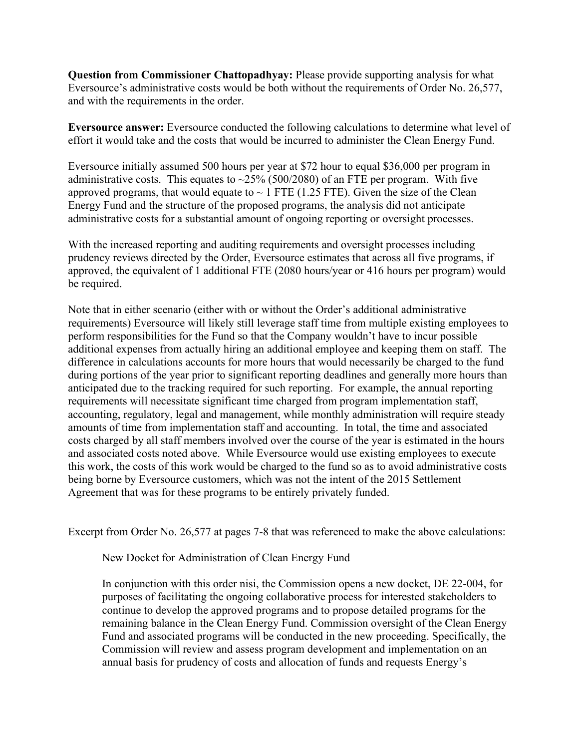**Question from Commissioner Chattopadhyay:** Please provide supporting analysis for what Eversource's administrative costs would be both without the requirements of Order No. 26,577, and with the requirements in the order.

**Eversource answer:** Eversource conducted the following calculations to determine what level of effort it would take and the costs that would be incurred to administer the Clean Energy Fund.

Eversource initially assumed 500 hours per year at \$72 hour to equal \$36,000 per program in administrative costs. This equates to  $\sim$ 25% (500/2080) of an FTE per program. With five approved programs, that would equate to  $\sim$  1 FTE (1.25 FTE). Given the size of the Clean Energy Fund and the structure of the proposed programs, the analysis did not anticipate administrative costs for a substantial amount of ongoing reporting or oversight processes.

With the increased reporting and auditing requirements and oversight processes including prudency reviews directed by the Order, Eversource estimates that across all five programs, if approved, the equivalent of 1 additional FTE (2080 hours/year or 416 hours per program) would be required.

Note that in either scenario (either with or without the Order's additional administrative requirements) Eversource will likely still leverage staff time from multiple existing employees to perform responsibilities for the Fund so that the Company wouldn't have to incur possible additional expenses from actually hiring an additional employee and keeping them on staff. The difference in calculations accounts for more hours that would necessarily be charged to the fund during portions of the year prior to significant reporting deadlines and generally more hours than anticipated due to the tracking required for such reporting. For example, the annual reporting requirements will necessitate significant time charged from program implementation staff, accounting, regulatory, legal and management, while monthly administration will require steady amounts of time from implementation staff and accounting. In total, the time and associated costs charged by all staff members involved over the course of the year is estimated in the hours and associated costs noted above. While Eversource would use existing employees to execute this work, the costs of this work would be charged to the fund so as to avoid administrative costs being borne by Eversource customers, which was not the intent of the 2015 Settlement Agreement that was for these programs to be entirely privately funded.

Excerpt from Order No. 26,577 at pages 7-8 that was referenced to make the above calculations:

New Docket for Administration of Clean Energy Fund

In conjunction with this order nisi, the Commission opens a new docket, DE 22-004, for purposes of facilitating the ongoing collaborative process for interested stakeholders to continue to develop the approved programs and to propose detailed programs for the remaining balance in the Clean Energy Fund. Commission oversight of the Clean Energy Fund and associated programs will be conducted in the new proceeding. Specifically, the Commission will review and assess program development and implementation on an annual basis for prudency of costs and allocation of funds and requests Energy's